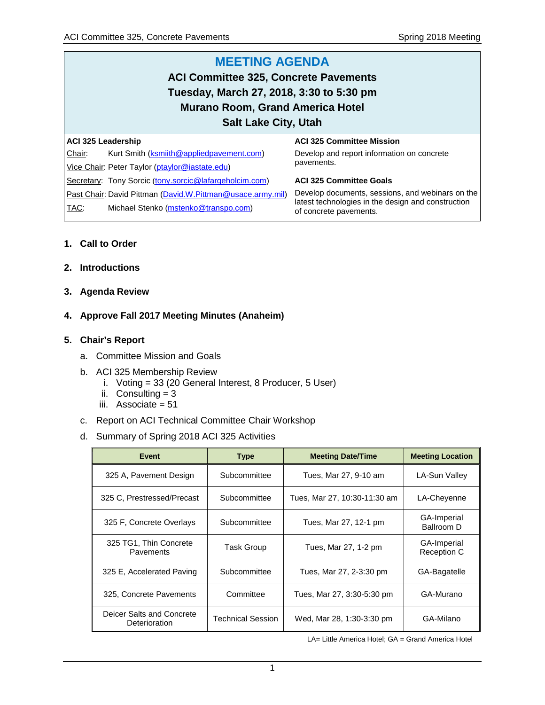#### **MEETING AGENDA ACI Committee 325, Concrete Pavements Tuesday, March 27, 2018, 3:30 to 5:30 pm Murano Room, Grand America Hotel Salt Lake City, Utah ACI 325 Leadership** Chair: Kurt Smith [\(ksmiith@appliedpavement.com\)](mailto:ksmiith@appliedpavement.com) Vice Chair: Peter Taylor [\(ptaylor@iastate.edu\)](mailto:ptaylor@iastate.edu) Secretary: Tony Sorcic ([tony.sorcic@lafargeholcim.com\)](mailto:tony.sorcic@lafargeholcim.com) Past Chair: David Pittman [\(David.W.Pittman@usace.army.mil\)](mailto:David.W.Pittman@usace.army.mil) **ACI 325 Committee Mission** Develop and report information on concrete pavements. **ACI 325 Committee Goals** Develop documents, sessions, and webinars on the latest technologies in the design and construction

of concrete pavements.

## **1. Call to Order**

- **2. Introductions**
- **3. Agenda Review**

## **4. Approve Fall 2017 Meeting Minutes (Anaheim)**

TAC: Michael Stenko [\(mstenko@transpo.com\)](mailto:mstenko@transpo.com)

#### **5. Chair's Report**

- a. Committee Mission and Goals
- b. ACI 325 Membership Review
	- i. Voting = 33 (20 General Interest, 8 Producer, 5 User)
	- ii. Consulting  $= 3$
	- iii. Associate = 51
- c. Report on ACI Technical Committee Chair Workshop
- d. Summary of Spring 2018 ACI 325 Activities

| <b>Event</b>                               | <b>Type</b>       | <b>Meeting Date/Time</b>     | <b>Meeting Location</b>           |
|--------------------------------------------|-------------------|------------------------------|-----------------------------------|
| 325 A, Pavement Design                     | Subcommittee      | Tues, Mar 27, 9-10 am        | LA-Sun Valley                     |
| 325 C, Prestressed/Precast                 | Subcommittee      | Tues, Mar 27, 10:30-11:30 am | LA-Chevenne                       |
| 325 F. Concrete Overlays                   | Subcommittee      | Tues, Mar 27, 12-1 pm        | GA-Imperial<br>Ballroom D         |
| 325 TG1, Thin Concrete<br>Pavements        | <b>Task Group</b> | Tues, Mar 27, 1-2 pm         | GA-Imperial<br><b>Reception C</b> |
| 325 E, Accelerated Paving                  | Subcommittee      | Tues, Mar 27, 2-3:30 pm      | GA-Bagatelle                      |
| 325, Concrete Pavements                    | Committee         | Tues, Mar 27, 3:30-5:30 pm   | GA-Murano                         |
| Deicer Salts and Concrete<br>Deterioration | Technical Session | Wed, Mar 28, 1:30-3:30 pm    | GA-Milano                         |

LA= Little America Hotel; GA = Grand America Hotel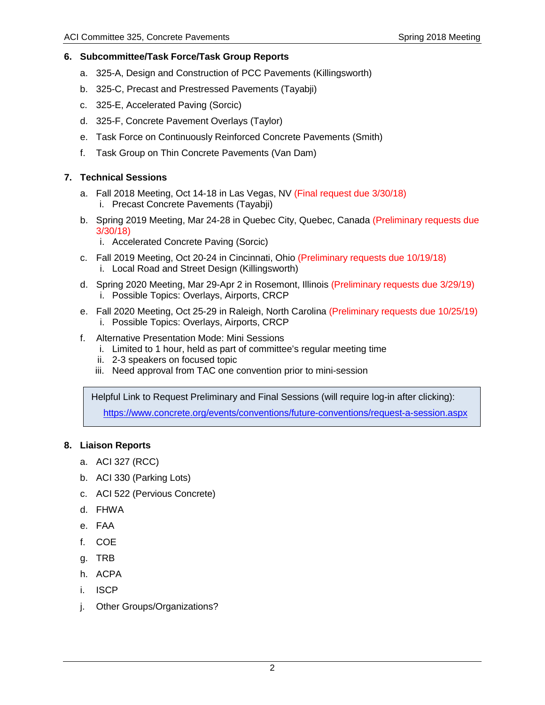## **6. Subcommittee/Task Force/Task Group Reports**

- a. 325-A, Design and Construction of PCC Pavements (Killingsworth)
- b. 325-C, Precast and Prestressed Pavements (Tayabji)
- c. 325-E, Accelerated Paving (Sorcic)
- d. 325-F, Concrete Pavement Overlays (Taylor)
- e. Task Force on Continuously Reinforced Concrete Pavements (Smith)
- f. Task Group on Thin Concrete Pavements (Van Dam)

#### **7. Technical Sessions**

- a. Fall 2018 Meeting, Oct 14-18 in Las Vegas, NV (Final request due 3/30/18) i. Precast Concrete Pavements (Tayabji)
- b. Spring 2019 Meeting, Mar 24-28 in Quebec City, Quebec, Canada (Preliminary requests due 3/30/18)
	- i. Accelerated Concrete Paving (Sorcic)
- c. Fall 2019 Meeting, Oct 20-24 in Cincinnati, Ohio (Preliminary requests due 10/19/18) i. Local Road and Street Design (Killingsworth)
- d. Spring 2020 Meeting, Mar 29-Apr 2 in Rosemont, Illinois (Preliminary requests due 3/29/19) i. Possible Topics: Overlays, Airports, CRCP
- e. Fall 2020 Meeting, Oct 25-29 in Raleigh, North Carolina (Preliminary requests due 10/25/19) i. Possible Topics: Overlays, Airports, CRCP
- f. Alternative Presentation Mode: Mini Sessions
	- i. Limited to 1 hour, held as part of committee's regular meeting time
	- ii. 2-3 speakers on focused topic
	- iii. Need approval from TAC one convention prior to mini-session

Helpful Link to Request Preliminary and Final Sessions (will require log-in after clicking): <https://www.concrete.org/events/conventions/future-conventions/request-a-session.aspx>

## **8. Liaison Reports**

- a. ACI 327 (RCC)
- b. ACI 330 (Parking Lots)
- c. ACI 522 (Pervious Concrete)
- d. FHWA
- e. FAA
- f. COE
- g. TRB
- h. ACPA
- i. ISCP
- j. Other Groups/Organizations?